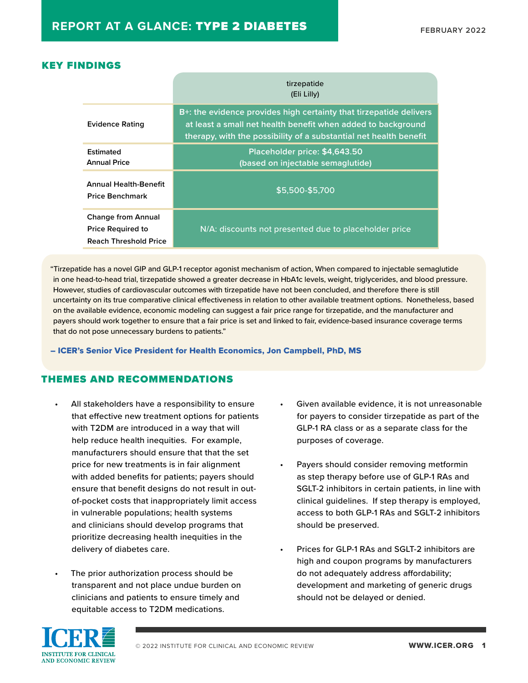### KEY FINDINGS

|                                                                                       | tirzepatide<br>(Eli Lilly)                                                                                                                                                                              |
|---------------------------------------------------------------------------------------|---------------------------------------------------------------------------------------------------------------------------------------------------------------------------------------------------------|
| <b>Evidence Rating</b>                                                                | B+: the evidence provides high certainty that tirzepatide delivers<br>at least a small net health benefit when added to background<br>therapy, with the possibility of a substantial net health benefit |
| Estimated<br><b>Annual Price</b>                                                      | Placeholder price: \$4,643.50<br>(based on injectable semaglutide)                                                                                                                                      |
| <b>Annual Health-Benefit</b><br><b>Price Benchmark</b>                                | \$5,500-\$5,700                                                                                                                                                                                         |
| <b>Change from Annual</b><br><b>Price Required to</b><br><b>Reach Threshold Price</b> | N/A: discounts not presented due to placeholder price                                                                                                                                                   |

"Tirzepatide has a novel GIP and GLP-1 receptor agonist mechanism of action, When compared to injectable semaglutide in one head-to-head trial, tirzepatide showed a greater decrease in HbA1c levels, weight, triglycerides, and blood pressure. However, studies of cardiovascular outcomes with tirzepatide have not been concluded, and therefore there is still uncertainty on its true comparative clinical effectiveness in relation to other available treatment options. Nonetheless, based on the available evidence, economic modeling can suggest a fair price range for tirzepatide, and the manufacturer and payers should work together to ensure that a fair price is set and linked to fair, evidence-based insurance coverage terms that do not pose unnecessary burdens to patients."

– ICER's Senior Vice President for Health Economics, Jon Campbell, PhD, MS

#### THEMES AND RECOMMENDATIONS

- All stakeholders have a responsibility to ensure that effective new treatment options for patients with T2DM are introduced in a way that will help reduce health inequities. For example, manufacturers should ensure that that the set price for new treatments is in fair alignment with added benefits for patients; payers should ensure that benefit designs do not result in outof-pocket costs that inappropriately limit access in vulnerable populations; health systems and clinicians should develop programs that prioritize decreasing health inequities in the delivery of diabetes care.
- The prior authorization process should be transparent and not place undue burden on clinicians and patients to ensure timely and equitable access to T2DM medications.
- Given available evidence, it is not unreasonable for payers to consider tirzepatide as part of the GLP-1 RA class or as a separate class for the purposes of coverage.
- Payers should consider removing metformin as step therapy before use of GLP-1 RAs and SGLT-2 inhibitors in certain patients, in line with clinical guidelines. If step therapy is employed, access to both GLP-1 RAs and SGLT-2 inhibitors should be preserved.
- Prices for GLP-1 RAs and SGLT-2 inhibitors are high and coupon programs by manufacturers do not adequately address affordability; development and marketing of generic drugs should not be delayed or denied.

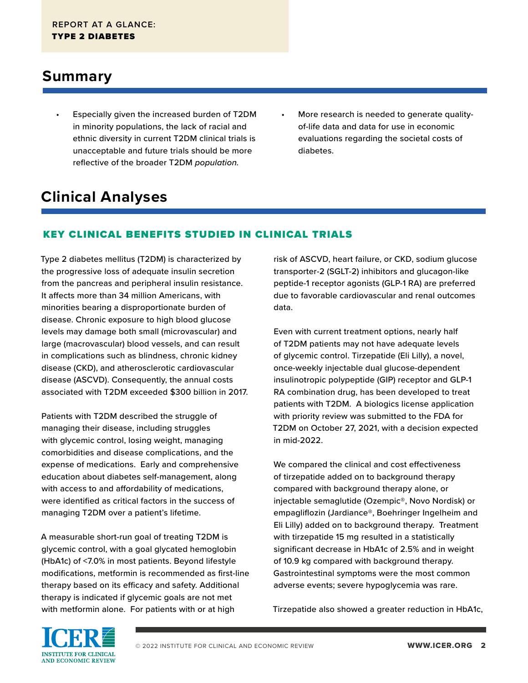### **Summary**

- Especially given the increased burden of T2DM in minority populations, the lack of racial and ethnic diversity in current T2DM clinical trials is unacceptable and future trials should be more reflective of the broader T2DM *population.*
- More research is needed to generate qualityof-life data and data for use in economic evaluations regarding the societal costs of diabetes.

# **Clinical Analyses**

### KEY CLINICAL BENEFITS STUDIED IN CLINICAL TRIALS

Type 2 diabetes mellitus (T2DM) is characterized by the progressive loss of adequate insulin secretion from the pancreas and peripheral insulin resistance. It affects more than 34 million Americans, with minorities bearing a disproportionate burden of disease. Chronic exposure to high blood glucose levels may damage both small (microvascular) and large (macrovascular) blood vessels, and can result in complications such as blindness, chronic kidney disease (CKD), and atherosclerotic cardiovascular disease (ASCVD). Consequently, the annual costs associated with T2DM exceeded \$300 billion in 2017.

Patients with T2DM described the struggle of managing their disease, including struggles with glycemic control, losing weight, managing comorbidities and disease complications, and the expense of medications. Early and comprehensive education about diabetes self-management, along with access to and affordability of medications, were identified as critical factors in the success of managing T2DM over a patient's lifetime.

A measurable short-run goal of treating T2DM is glycemic control, with a goal glycated hemoglobin (HbA1c) of <7.0% in most patients. Beyond lifestyle modifications, metformin is recommended as first-line therapy based on its efficacy and safety. Additional therapy is indicated if glycemic goals are not met with metformin alone. For patients with or at high

risk of ASCVD, heart failure, or CKD, sodium glucose transporter-2 (SGLT-2) inhibitors and glucagon-like peptide-1 receptor agonists (GLP-1 RA) are preferred due to favorable cardiovascular and renal outcomes data.

Even with current treatment options, nearly half of T2DM patients may not have adequate levels of glycemic control. Tirzepatide (Eli Lilly), a novel, once-weekly injectable dual glucose-dependent insulinotropic polypeptide (GIP) receptor and GLP-1 RA combination drug, has been developed to treat patients with T2DM. A biologics license application with priority review was submitted to the FDA for T2DM on October 27, 2021, with a decision expected in mid-2022.

We compared the clinical and cost effectiveness of tirzepatide added on to background therapy compared with background therapy alone, or injectable semaglutide (Ozempic®, Novo Nordisk) or empagliflozin (Jardiance®, Boehringer Ingelheim and Eli Lilly) added on to background therapy. Treatment with tirzepatide 15 mg resulted in a statistically significant decrease in HbA1c of 2.5% and in weight of 10.9 kg compared with background therapy. Gastrointestinal symptoms were the most common adverse events; severe hypoglycemia was rare.

Tirzepatide also showed a greater reduction in HbA1c,

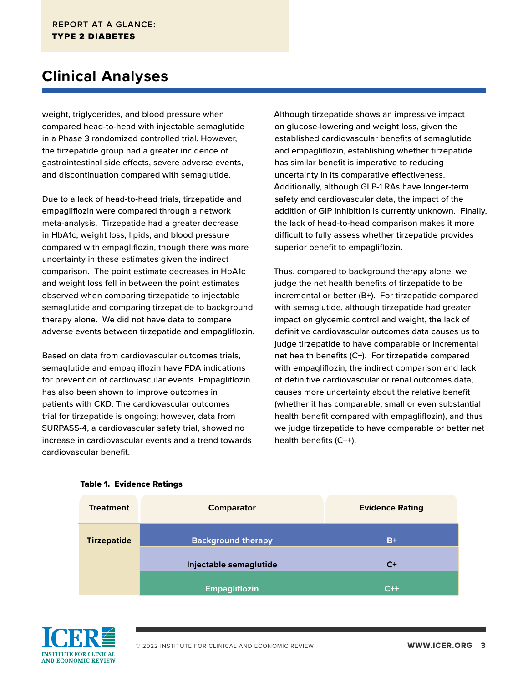## **Clinical Analyses**

weight, triglycerides, and blood pressure when compared head-to-head with injectable semaglutide in a Phase 3 randomized controlled trial. However, the tirzepatide group had a greater incidence of gastrointestinal side effects, severe adverse events, and discontinuation compared with semaglutide.

Due to a lack of head-to-head trials, tirzepatide and empagliflozin were compared through a network meta-analysis. Tirzepatide had a greater decrease in HbA1c, weight loss, lipids, and blood pressure compared with empagliflozin, though there was more uncertainty in these estimates given the indirect comparison. The point estimate decreases in HbA1c and weight loss fell in between the point estimates observed when comparing tirzepatide to injectable semaglutide and comparing tirzepatide to background therapy alone. We did not have data to compare adverse events between tirzepatide and empagliflozin.

Based on data from cardiovascular outcomes trials, semaglutide and empagliflozin have FDA indications for prevention of cardiovascular events. Empagliflozin has also been shown to improve outcomes in patients with CKD. The cardiovascular outcomes trial for tirzepatide is ongoing; however, data from SURPASS-4, a cardiovascular safety trial, showed no increase in cardiovascular events and a trend towards cardiovascular benefit.

Although tirzepatide shows an impressive impact on glucose-lowering and weight loss, given the established cardiovascular benefits of semaglutide and empagliflozin, establishing whether tirzepatide has similar benefit is imperative to reducing uncertainty in its comparative effectiveness. Additionally, although GLP-1 RAs have longer-term safety and cardiovascular data, the impact of the addition of GIP inhibition is currently unknown. Finally, the lack of head-to-head comparison makes it more difficult to fully assess whether tirzepatide provides superior benefit to empagliflozin.

Thus, compared to background therapy alone, we judge the net health benefits of tirzepatide to be incremental or better (B+). For tirzepatide compared with semaglutide, although tirzepatide had greater impact on glycemic control and weight, the lack of definitive cardiovascular outcomes data causes us to judge tirzepatide to have comparable or incremental net health benefits (C+). For tirzepatide compared with empagliflozin, the indirect comparison and lack of definitive cardiovascular or renal outcomes data, causes more uncertainty about the relative benefit (whether it has comparable, small or even substantial health benefit compared with empagliflozin), and thus we judge tirzepatide to have comparable or better net health benefits (C++).



#### Table 1. Evidence Ratings

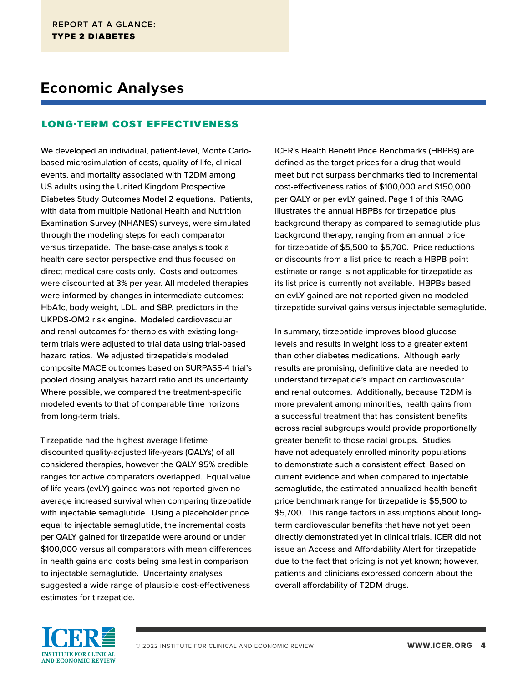### **Economic Analyses**

#### LONG-TERM COST EFFECTIVENESS

We developed an individual, patient-level, Monte Carlobased microsimulation of costs, quality of life, clinical events, and mortality associated with T2DM among US adults using the United Kingdom Prospective Diabetes Study Outcomes Model 2 equations. Patients, with data from multiple National Health and Nutrition Examination Survey (NHANES) surveys, were simulated through the modeling steps for each comparator versus tirzepatide. The base-case analysis took a health care sector perspective and thus focused on direct medical care costs only. Costs and outcomes were discounted at 3% per year. All modeled therapies were informed by changes in intermediate outcomes: HbA1c, body weight, LDL, and SBP, predictors in the UKPDS-OM2 risk engine. Modeled cardiovascular and renal outcomes for therapies with existing longterm trials were adjusted to trial data using trial-based hazard ratios. We adjusted tirzepatide's modeled composite MACE outcomes based on SURPASS-4 trial's pooled dosing analysis hazard ratio and its uncertainty. Where possible, we compared the treatment-specific modeled events to that of comparable time horizons from long-term trials.

Tirzepatide had the highest average lifetime discounted quality-adjusted life-years (QALYs) of all considered therapies, however the QALY 95% credible ranges for active comparators overlapped. Equal value of life years (evLY) gained was not reported given no average increased survival when comparing tirzepatide with injectable semaglutide. Using a placeholder price equal to injectable semaglutide, the incremental costs per QALY gained for tirzepatide were around or under \$100,000 versus all comparators with mean differences in health gains and costs being smallest in comparison to injectable semaglutide. Uncertainty analyses suggested a wide range of plausible cost-effectiveness estimates for tirzepatide.

ICER's Health Benefit Price Benchmarks (HBPBs) are defined as the target prices for a drug that would meet but not surpass benchmarks tied to incremental cost-effectiveness ratios of \$100,000 and \$150,000 per QALY or per evLY gained. Page 1 of this RAAG illustrates the annual HBPBs for tirzepatide plus background therapy as compared to semaglutide plus background therapy, ranging from an annual price for tirzepatide of \$5,500 to \$5,700. Price reductions or discounts from a list price to reach a HBPB point estimate or range is not applicable for tirzepatide as its list price is currently not available. HBPBs based on evLY gained are not reported given no modeled tirzepatide survival gains versus injectable semaglutide.

In summary, tirzepatide improves blood glucose levels and results in weight loss to a greater extent than other diabetes medications. Although early results are promising, definitive data are needed to understand tirzepatide's impact on cardiovascular and renal outcomes. Additionally, because T2DM is more prevalent among minorities, health gains from a successful treatment that has consistent benefits across racial subgroups would provide proportionally greater benefit to those racial groups. Studies have not adequately enrolled minority populations to demonstrate such a consistent effect. Based on current evidence and when compared to injectable semaglutide, the estimated annualized health benefit price benchmark range for tirzepatide is \$5,500 to \$5,700. This range factors in assumptions about longterm cardiovascular benefits that have not yet been directly demonstrated yet in clinical trials. ICER did not issue an Access and Affordability Alert for tirzepatide due to the fact that pricing is not yet known; however, patients and clinicians expressed concern about the overall affordability of T2DM drugs.

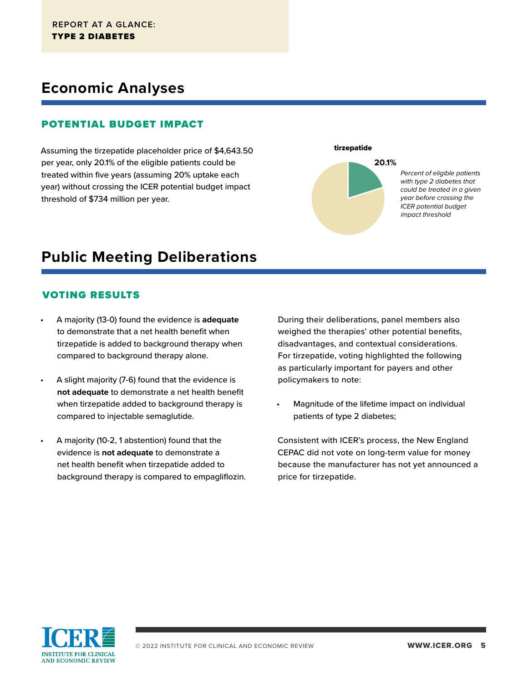### **Economic Analyses**

#### POTENTIAL BUDGET IMPACT

Assuming the tirzepatide placeholder price of \$4,643.50 per year, only 20.1% of the eligible patients could be treated within five years (assuming 20% uptake each year) without crossing the ICER potential budget impact threshold of \$734 million per year.

tirzepatide **20.1%**

> *Percent of eligible patients with type 2 diabetes that could be treated in a given year before crossing the ICER potential budget impact threshold*

## **Public Meeting Deliberations**

#### VOTING RESULTS

- A majority (13-0) found the evidence is **adequate** to demonstrate that a net health benefit when tirzepatide is added to background therapy when compared to background therapy alone.
- A slight majority (7-6) found that the evidence is **not adequate** to demonstrate a net health benefit when tirzepatide added to background therapy is compared to injectable semaglutide.
- A majority (10-2, 1 abstention) found that the evidence is **not adequate** to demonstrate a net health benefit when tirzepatide added to background therapy is compared to empagliflozin.

During their deliberations, panel members also weighed the therapies' other potential benefits, disadvantages, and contextual considerations. For tirzepatide, voting highlighted the following as particularly important for payers and other policymakers to note:

Magnitude of the lifetime impact on individual patients of type 2 diabetes;

Consistent with ICER's process, the New England CEPAC did not vote on long-term value for money because the manufacturer has not yet announced a price for tirzepatide.